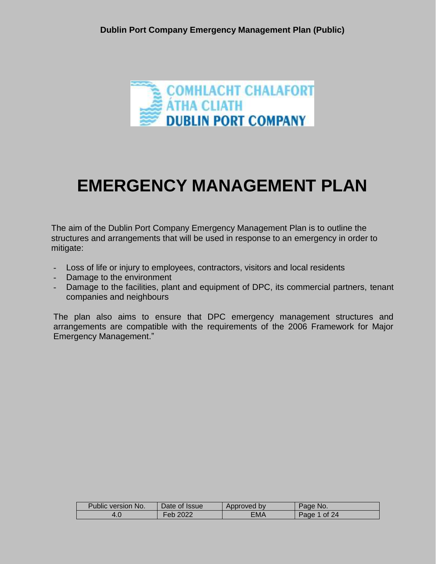

# **EMERGENCY MANAGEMENT PLAN**

The aim of the Dublin Port Company Emergency Management Plan is to outline the structures and arrangements that will be used in response to an emergency in order to mitigate:

- Loss of life or injury to employees, contractors, visitors and local residents
- Damage to the environment
- Damage to the facilities, plant and equipment of DPC, its commercial partners, tenant companies and neighbours

The plan also aims to ensure that DPC emergency management structures and arrangements are compatible with the requirements of the 2006 Framework for Major Emergency Management."

| Public version No. | Date of Issue. | Approved by | Page No.        |
|--------------------|----------------|-------------|-----------------|
| 4.0                | Feb 2022       | ΞΜΑ         | Page<br>1 of 24 |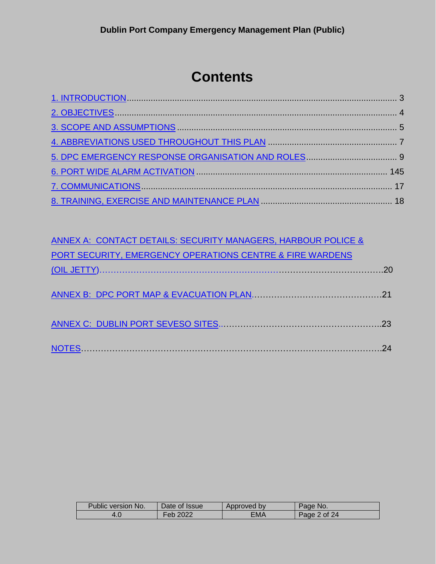## **Contents**

| ANNEX A: CONTACT DETAILS: SECURITY MANAGERS, HARBOUR POLICE & |  |
|---------------------------------------------------------------|--|
| PORT SECURITY, EMERGENCY OPERATIONS CENTRE & FIRE WARDENS     |  |
|                                                               |  |
|                                                               |  |
|                                                               |  |
|                                                               |  |
|                                                               |  |
|                                                               |  |
|                                                               |  |

| Public version No. | Date of Issue | Approved by | Page No.     |
|--------------------|---------------|-------------|--------------|
| 4.0                | Feb 2022      | ΞΜΑ         | Page 2 of 24 |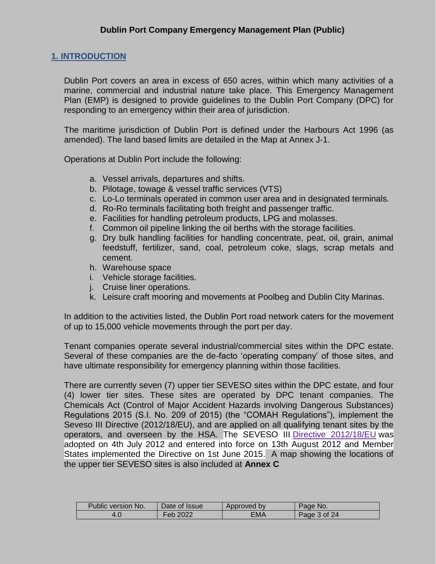#### <span id="page-2-0"></span>**1. INTRODUCTION**

Dublin Port covers an area in excess of 650 acres, within which many activities of a marine, commercial and industrial nature take place. This Emergency Management Plan (EMP) is designed to provide guidelines to the Dublin Port Company (DPC) for responding to an emergency within their area of jurisdiction.

The maritime jurisdiction of Dublin Port is defined under the Harbours Act 1996 (as amended). The land based limits are detailed in the Map at Annex J-1.

Operations at Dublin Port include the following:

- a. Vessel arrivals, departures and shifts.
- b. Pilotage, towage & vessel traffic services (VTS)
- c. Lo-Lo terminals operated in common user area and in designated terminals.
- d. Ro-Ro terminals facilitating both freight and passenger traffic.
- e. Facilities for handling petroleum products, LPG and molasses.
- f. Common oil pipeline linking the oil berths with the storage facilities.
- g. Dry bulk handling facilities for handling concentrate, peat, oil, grain, animal feedstuff, fertilizer, sand, coal, petroleum coke, slags, scrap metals and cement.
- h. Warehouse space
- i. Vehicle storage facilities.
- j. Cruise liner operations.
- k. Leisure craft mooring and movements at Poolbeg and Dublin City Marinas.

In addition to the activities listed, the Dublin Port road network caters for the movement of up to 15,000 vehicle movements through the port per day.

Tenant companies operate several industrial/commercial sites within the DPC estate. Several of these companies are the de-facto 'operating company' of those sites, and have ultimate responsibility for emergency planning within those facilities.

<span id="page-2-1"></span>There are currently seven (7) upper tier SEVESO sites within the DPC estate, and four (4) lower tier sites. These sites are operated by DPC tenant companies. The Chemicals Act (Control of Major Accident Hazards involving Dangerous Substances) Regulations 2015 (S.I. No. 209 of 2015) (the "COMAH Regulations"), implement the Seveso III Directive (2012/18/EU), and are applied on all qualifying tenant sites by the operators, and overseen by the HSA. The SEVESO III Directive [2012/18/EU](http://eur-lex.europa.eu/LexUriServ/LexUriServ.do?uri=CELEX:32012L0018:EN:NOT) was adopted on 4th July 2012 and entered into force on 13th August 2012 and Member States implemented the Directive on 1st June 2015. A map showing the locations of the upper tier SEVESO sites is also included at **Annex C**

| <b>Public version No.</b> | Date of Issue | Approved by | Page No.     |
|---------------------------|---------------|-------------|--------------|
|                           | Feb 2022      | EMA         | Page 3 of 24 |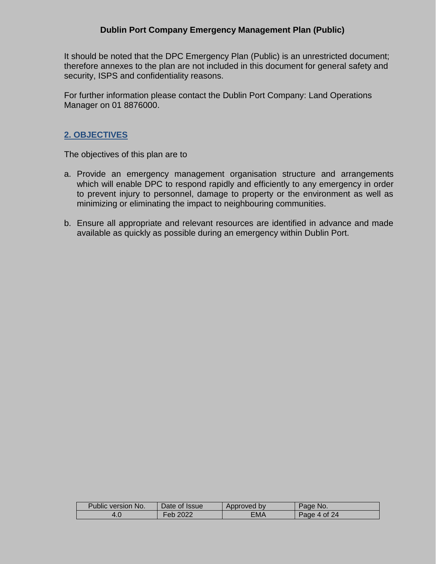It should be noted that the DPC Emergency Plan (Public) is an unrestricted document; therefore annexes to the plan are not included in this document for general safety and security, ISPS and confidentiality reasons.

For further information please contact the Dublin Port Company: Land Operations Manager on 01 8876000.

#### **2. OBJECTIVES**

The objectives of this plan are to

- a. Provide an emergency management organisation structure and arrangements which will enable DPC to respond rapidly and efficiently to any emergency in order to prevent injury to personnel, damage to property or the environment as well as minimizing or eliminating the impact to neighbouring communities.
- <span id="page-3-0"></span>b. Ensure all appropriate and relevant resources are identified in advance and made available as quickly as possible during an emergency within Dublin Port.

| Public version No. | Date of Issue | Approved by | Page No.     |
|--------------------|---------------|-------------|--------------|
|                    |               |             |              |
|                    | Feb 2022      | EMA         | Page 4 of 24 |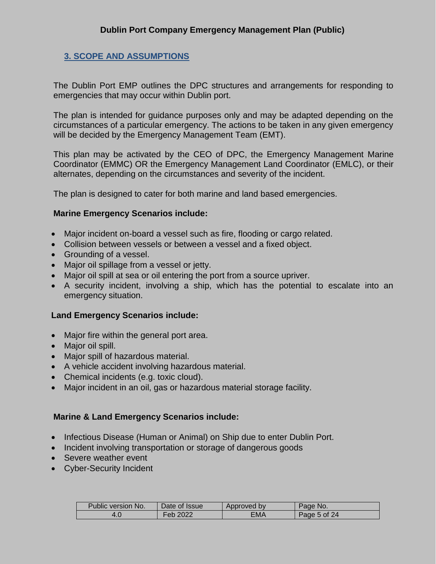#### **3. SCOPE AND ASSUMPTIONS**

The Dublin Port EMP outlines the DPC structures and arrangements for responding to emergencies that may occur within Dublin port.

The plan is intended for guidance purposes only and may be adapted depending on the circumstances of a particular emergency. The actions to be taken in any given emergency will be decided by the Emergency Management Team (EMT).

This plan may be activated by the CEO of DPC, the Emergency Management Marine Coordinator (EMMC) OR the Emergency Management Land Coordinator (EMLC), or their alternates, depending on the circumstances and severity of the incident.

The plan is designed to cater for both marine and land based emergencies.

#### **Marine Emergency Scenarios include:**

- Major incident on-board a vessel such as fire, flooding or cargo related.
- Collision between vessels or between a vessel and a fixed object.
- Grounding of a vessel.
- Major oil spillage from a vessel or jetty.
- Major oil spill at sea or oil entering the port from a source upriver.
- A security incident, involving a ship, which has the potential to escalate into an emergency situation.

#### **Land Emergency Scenarios include:**

- Major fire within the general port area.
- Major oil spill.
- Major spill of hazardous material.
- A vehicle accident involving hazardous material.
- Chemical incidents (e.g. toxic cloud).
- Major incident in an oil, gas or hazardous material storage facility.

#### **Marine & Land Emergency Scenarios include:**

- Infectious Disease (Human or Animal) on Ship due to enter Dublin Port.
- Incident involving transportation or storage of dangerous goods
- Severe weather event
- Cyber-Security Incident

| Public version No. | Date of Issue | Approved by | Page No.     |
|--------------------|---------------|-------------|--------------|
|                    | Feb 2022      | ΞΜΑ         | Page 5 of 24 |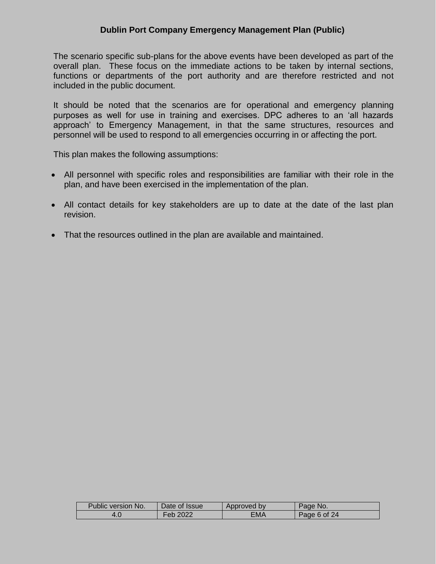The scenario specific sub-plans for the above events have been developed as part of the overall plan. These focus on the immediate actions to be taken by internal sections, functions or departments of the port authority and are therefore restricted and not included in the public document.

It should be noted that the scenarios are for operational and emergency planning purposes as well for use in training and exercises. DPC adheres to an 'all hazards approach' to Emergency Management, in that the same structures, resources and personnel will be used to respond to all emergencies occurring in or affecting the port.

This plan makes the following assumptions:

- All personnel with specific roles and responsibilities are familiar with their role in the plan, and have been exercised in the implementation of the plan.
- All contact details for key stakeholders are up to date at the date of the last plan revision.
- That the resources outlined in the plan are available and maintained.

| Public version No. | Date of Issue | Approved by | Page No.     |
|--------------------|---------------|-------------|--------------|
|                    | Feb 2022      | ΞМΑ         | Page 6 of 24 |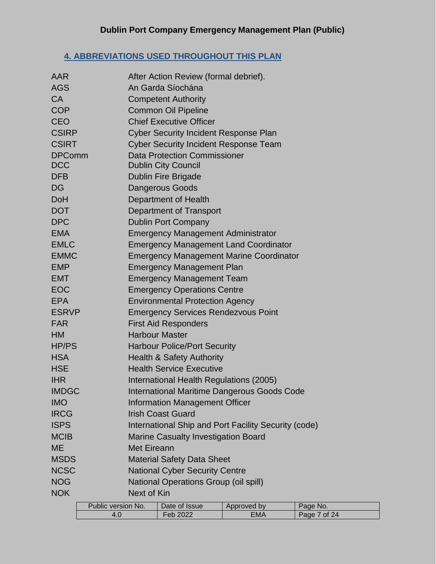## <span id="page-6-0"></span>**4. ABBREVIATIONS USED THROUGHOUT THIS PLAN**

| AAR           |                    |                       | After Action Review (formal debrief).        |                                                      |              |
|---------------|--------------------|-----------------------|----------------------------------------------|------------------------------------------------------|--------------|
| <b>AGS</b>    |                    |                       | An Garda Síochána                            |                                                      |              |
| <b>CA</b>     |                    |                       | <b>Competent Authority</b>                   |                                                      |              |
| <b>COP</b>    |                    |                       | <b>Common Oil Pipeline</b>                   |                                                      |              |
| <b>CEO</b>    |                    |                       | <b>Chief Executive Officer</b>               |                                                      |              |
| <b>CSIRP</b>  |                    |                       | <b>Cyber Security Incident Response Plan</b> |                                                      |              |
| <b>CSIRT</b>  |                    |                       | <b>Cyber Security Incident Response Team</b> |                                                      |              |
| <b>DPComm</b> |                    |                       | <b>Data Protection Commissioner</b>          |                                                      |              |
| <b>DCC</b>    |                    |                       | <b>Dublin City Council</b>                   |                                                      |              |
| <b>DFB</b>    |                    |                       | <b>Dublin Fire Brigade</b>                   |                                                      |              |
| <b>DG</b>     |                    |                       | <b>Dangerous Goods</b>                       |                                                      |              |
| <b>DoH</b>    |                    |                       | Department of Health                         |                                                      |              |
| <b>DOT</b>    |                    |                       | Department of Transport                      |                                                      |              |
| <b>DPC</b>    |                    |                       | <b>Dublin Port Company</b>                   |                                                      |              |
| <b>EMA</b>    |                    |                       | <b>Emergency Management Administrator</b>    |                                                      |              |
| <b>EMLC</b>   |                    |                       |                                              | <b>Emergency Management Land Coordinator</b>         |              |
| <b>EMMC</b>   |                    |                       |                                              | <b>Emergency Management Marine Coordinator</b>       |              |
| <b>EMP</b>    |                    |                       | <b>Emergency Management Plan</b>             |                                                      |              |
| <b>EMT</b>    |                    |                       | <b>Emergency Management Team</b>             |                                                      |              |
| <b>EOC</b>    |                    |                       | <b>Emergency Operations Centre</b>           |                                                      |              |
| <b>EPA</b>    |                    |                       | <b>Environmental Protection Agency</b>       |                                                      |              |
| <b>ESRVP</b>  |                    |                       | <b>Emergency Services Rendezvous Point</b>   |                                                      |              |
| <b>FAR</b>    |                    |                       | <b>First Aid Responders</b>                  |                                                      |              |
| <b>HM</b>     |                    | <b>Harbour Master</b> |                                              |                                                      |              |
| <b>HP/PS</b>  |                    |                       | <b>Harbour Police/Port Security</b>          |                                                      |              |
| <b>HSA</b>    |                    |                       | <b>Health &amp; Safety Authority</b>         |                                                      |              |
| <b>HSE</b>    |                    |                       | <b>Health Service Executive</b>              |                                                      |              |
| <b>IHR</b>    |                    |                       | International Health Regulations (2005)      |                                                      |              |
| <b>IMDGC</b>  |                    |                       |                                              | <b>International Maritime Dangerous Goods Code</b>   |              |
| <b>IMO</b>    |                    |                       | <b>Information Management Officer</b>        |                                                      |              |
| <b>IRCG</b>   |                    |                       | <b>Irish Coast Guard</b>                     |                                                      |              |
| <b>ISPS</b>   |                    |                       |                                              | International Ship and Port Facility Security (code) |              |
| <b>MCIB</b>   |                    |                       | <b>Marine Casualty Investigation Board</b>   |                                                      |              |
| <b>ME</b>     |                    | <b>Met Eireann</b>    |                                              |                                                      |              |
| <b>MSDS</b>   |                    |                       | <b>Material Safety Data Sheet</b>            |                                                      |              |
| <b>NCSC</b>   |                    |                       | <b>National Cyber Security Centre</b>        |                                                      |              |
| <b>NOG</b>    |                    |                       | <b>National Operations Group (oil spill)</b> |                                                      |              |
| <b>NOK</b>    |                    | Next of Kin           |                                              |                                                      |              |
|               | Public version No. |                       | Date of Issue                                | Approved by                                          | Page No.     |
|               | 4.0                |                       | Feb 2022                                     | <b>EMA</b>                                           | Page 7 of 24 |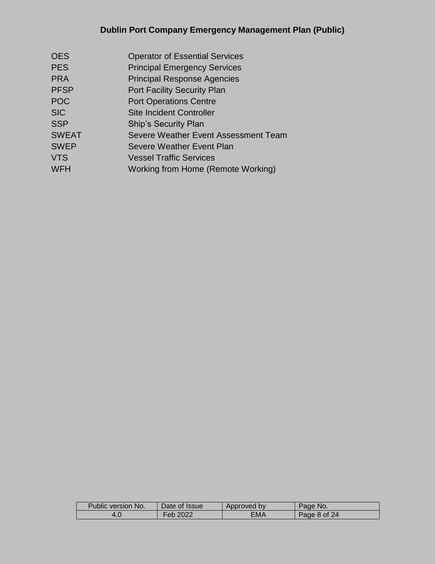| <b>OES</b>   | <b>Operator of Essential Services</b> |
|--------------|---------------------------------------|
| <b>PES</b>   | <b>Principal Emergency Services</b>   |
| <b>PRA</b>   | <b>Principal Response Agencies</b>    |
| <b>PFSP</b>  | <b>Port Facility Security Plan</b>    |
| <b>POC</b>   | <b>Port Operations Centre</b>         |
| <b>SIC</b>   | <b>Site Incident Controller</b>       |
| <b>SSP</b>   | <b>Ship's Security Plan</b>           |
| <b>SWEAT</b> | Severe Weather Event Assessment Team  |
| <b>SWEP</b>  | Severe Weather Event Plan             |
| <b>VTS</b>   | <b>Vessel Traffic Services</b>        |
| <b>WFH</b>   | Working from Home (Remote Working)    |
|              |                                       |

| Public version No. | Date of Issue | Approved by | Page No.     |
|--------------------|---------------|-------------|--------------|
| 4.0                | Feb 2022      | EMA         | Page 8 of 24 |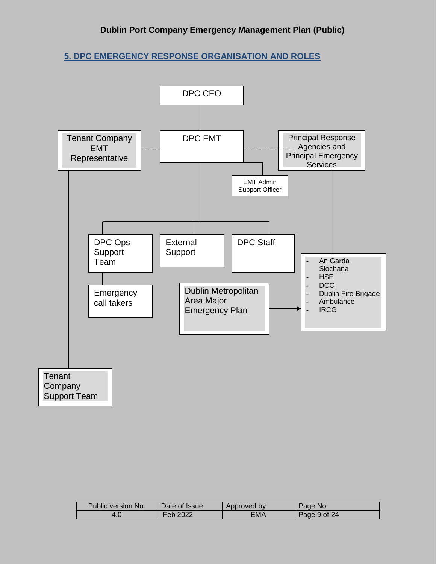<span id="page-8-0"></span>**5. DPC EMERGENCY RESPONSE ORGANISATION AND ROLES**



| Public version No. | Date of Issue         | Approved by | Page No.     |
|--------------------|-----------------------|-------------|--------------|
|                    | Feb 2022 <sup>.</sup> | EMA         | Page 9 of 24 |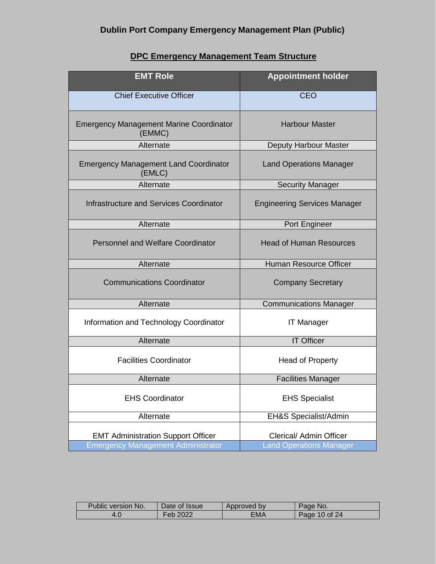| <b>DPC Emergency Management Team Structure</b> |  |
|------------------------------------------------|--|
|------------------------------------------------|--|

| <b>EMT Role</b>                                                                        | <b>Appointment holder</b>                                 |
|----------------------------------------------------------------------------------------|-----------------------------------------------------------|
| <b>Chief Executive Officer</b>                                                         | <b>CEO</b>                                                |
| <b>Emergency Management Marine Coordinator</b><br>(EMMC)                               | <b>Harbour Master</b>                                     |
| Alternate                                                                              | Deputy Harbour Master                                     |
| <b>Emergency Management Land Coordinator</b><br>(EMLC)                                 | <b>Land Operations Manager</b>                            |
| Alternate                                                                              | <b>Security Manager</b>                                   |
| <b>Infrastructure and Services Coordinator</b>                                         | <b>Engineering Services Manager</b>                       |
| Alternate                                                                              | Port Engineer                                             |
| <b>Personnel and Welfare Coordinator</b>                                               | <b>Head of Human Resources</b>                            |
| Alternate                                                                              | Human Resource Officer                                    |
| <b>Communications Coordinator</b>                                                      | <b>Company Secretary</b>                                  |
| Alternate                                                                              | <b>Communications Manager</b>                             |
| Information and Technology Coordinator                                                 | <b>IT Manager</b>                                         |
| Alternate                                                                              | <b>IT Officer</b>                                         |
| <b>Facilities Coordinator</b>                                                          | Head of Property                                          |
| Alternate                                                                              | <b>Facilities Manager</b>                                 |
| <b>EHS Coordinator</b>                                                                 | <b>EHS Specialist</b>                                     |
| Alternate                                                                              | EH&S Specialist/Admin                                     |
| <b>EMT Administration Support Officer</b><br><b>Emergency Management Administrator</b> | Clerical/ Admin Officer<br><b>Land Operations Manager</b> |
|                                                                                        |                                                           |

| Public version No. | Date of Issue | Approved by | Page No.      |
|--------------------|---------------|-------------|---------------|
|                    | Feb 2022      | ΞМΑ         | Page 10 of 24 |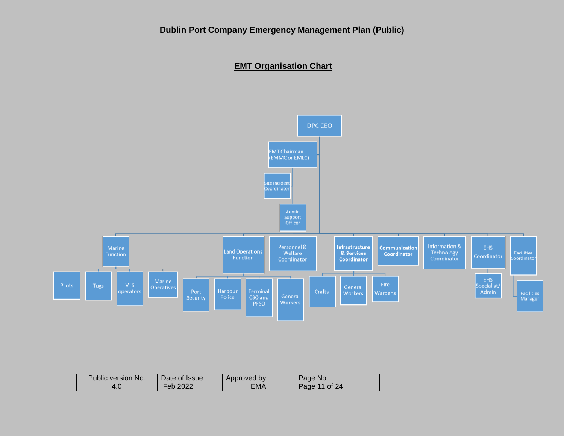#### **EMT Organisation Chart**



| Public version No. | Date of Issue | Approved by | Page No.      |
|--------------------|---------------|-------------|---------------|
|                    | 2022<br>Febl  | EMA         | Page 11 of 24 |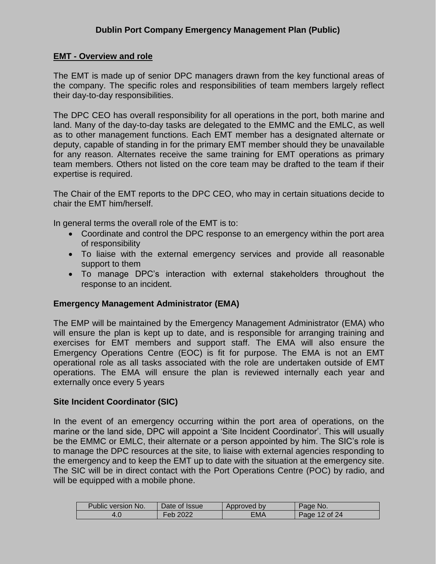#### **EMT - Overview and role**

The EMT is made up of senior DPC managers drawn from the key functional areas of the company. The specific roles and responsibilities of team members largely reflect their day-to-day responsibilities.

The DPC CEO has overall responsibility for all operations in the port, both marine and land. Many of the day-to-day tasks are delegated to the EMMC and the EMLC, as well as to other management functions. Each EMT member has a designated alternate or deputy, capable of standing in for the primary EMT member should they be unavailable for any reason. Alternates receive the same training for EMT operations as primary team members. Others not listed on the core team may be drafted to the team if their expertise is required.

The Chair of the EMT reports to the DPC CEO, who may in certain situations decide to chair the EMT him/herself.

In general terms the overall role of the EMT is to:

- Coordinate and control the DPC response to an emergency within the port area of responsibility
- To liaise with the external emergency services and provide all reasonable support to them
- To manage DPC's interaction with external stakeholders throughout the response to an incident.

#### **Emergency Management Administrator (EMA)**

The EMP will be maintained by the Emergency Management Administrator (EMA) who will ensure the plan is kept up to date, and is responsible for arranging training and exercises for EMT members and support staff. The EMA will also ensure the Emergency Operations Centre (EOC) is fit for purpose. The EMA is not an EMT operational role as all tasks associated with the role are undertaken outside of EMT operations. The EMA will ensure the plan is reviewed internally each year and externally once every 5 years

#### **Site Incident Coordinator (SIC)**

In the event of an emergency occurring within the port area of operations, on the marine or the land side, DPC will appoint a 'Site Incident Coordinator'. This will usually be the EMMC or EMLC, their alternate or a person appointed by him. The SIC's role is to manage the DPC resources at the site, to liaise with external agencies responding to the emergency and to keep the EMT up to date with the situation at the emergency site. The SIC will be in direct contact with the Port Operations Centre (POC) by radio, and will be equipped with a mobile phone.

| Public version No. | Date of Issue | Approved by | Page No.           |
|--------------------|---------------|-------------|--------------------|
|                    | 2022<br>⊤eb   | EMA         | $12$ of 24<br>Page |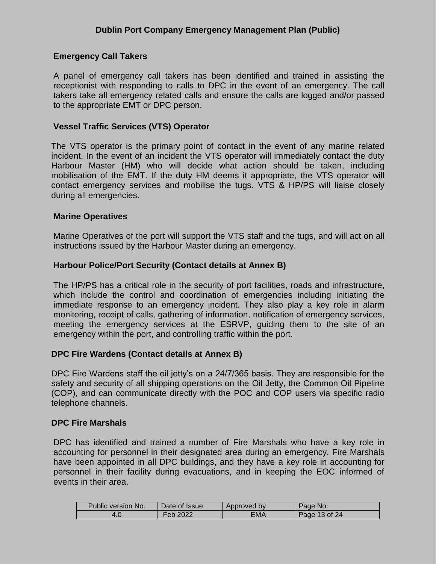#### **Emergency Call Takers**

A panel of emergency call takers has been identified and trained in assisting the receptionist with responding to calls to DPC in the event of an emergency. The call takers take all emergency related calls and ensure the calls are logged and/or passed to the appropriate EMT or DPC person.

#### **Vessel Traffic Services (VTS) Operator**

The VTS operator is the primary point of contact in the event of any marine related incident. In the event of an incident the VTS operator will immediately contact the duty Harbour Master (HM) who will decide what action should be taken, including mobilisation of the EMT. If the duty HM deems it appropriate, the VTS operator will contact emergency services and mobilise the tugs. VTS & HP/PS will liaise closely during all emergencies.

#### **Marine Operatives**

Marine Operatives of the port will support the VTS staff and the tugs, and will act on all instructions issued by the Harbour Master during an emergency.

#### **Harbour Police/Port Security (Contact details at Annex B)**

The HP/PS has a critical role in the security of port facilities, roads and infrastructure, which include the control and coordination of emergencies including initiating the immediate response to an emergency incident. They also play a key role in alarm monitoring, receipt of calls, gathering of information, notification of emergency services, meeting the emergency services at the ESRVP, guiding them to the site of an emergency within the port, and controlling traffic within the port.

#### **DPC Fire Wardens (Contact details at Annex B)**

DPC Fire Wardens staff the oil jetty's on a 24/7/365 basis. They are responsible for the safety and security of all shipping operations on the Oil Jetty, the Common Oil Pipeline (COP), and can communicate directly with the POC and COP users via specific radio telephone channels.

#### **DPC Fire Marshals**

DPC has identified and trained a number of Fire Marshals who have a key role in accounting for personnel in their designated area during an emergency. Fire Marshals have been appointed in all DPC buildings, and they have a key role in accounting for personnel in their facility during evacuations, and in keeping the EOC informed of events in their area.

| Public version No. | Date of Issue | Approved by | Page No.           |
|--------------------|---------------|-------------|--------------------|
| t.U                | ∙eb           | ΞΜΑ         | $13$ of 24<br>Page |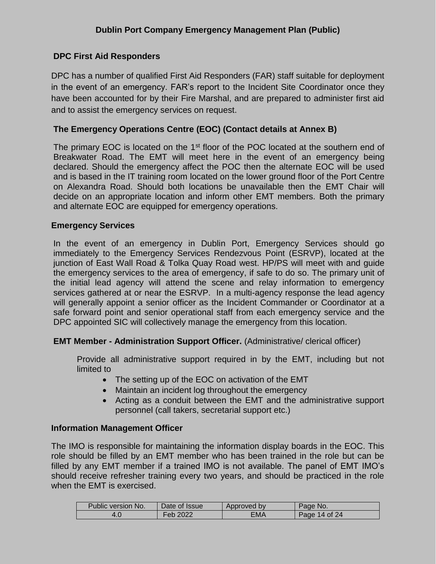#### **DPC First Aid Responders**

DPC has a number of qualified First Aid Responders (FAR) staff suitable for deployment in the event of an emergency. FAR's report to the Incident Site Coordinator once they have been accounted for by their Fire Marshal, and are prepared to administer first aid and to assist the emergency services on request.

#### **The Emergency Operations Centre (EOC) (Contact details at Annex B)**

The primary EOC is located on the 1<sup>st</sup> floor of the POC located at the southern end of Breakwater Road. The EMT will meet here in the event of an emergency being declared. Should the emergency affect the POC then the alternate EOC will be used and is based in the IT training room located on the lower ground floor of the Port Centre on Alexandra Road. Should both locations be unavailable then the EMT Chair will decide on an appropriate location and inform other EMT members. Both the primary and alternate EOC are equipped for emergency operations.

#### **Emergency Services**

In the event of an emergency in Dublin Port, Emergency Services should go immediately to the Emergency Services Rendezvous Point (ESRVP), located at the junction of East Wall Road & Tolka Quay Road west. HP/PS will meet with and guide the emergency services to the area of emergency, if safe to do so. The primary unit of the initial lead agency will attend the scene and relay information to emergency services gathered at or near the ESRVP. In a multi-agency response the lead agency will generally appoint a senior officer as the Incident Commander or Coordinator at a safe forward point and senior operational staff from each emergency service and the DPC appointed SIC will collectively manage the emergency from this location.

#### <span id="page-13-0"></span>**EMT Member - Administration Support Officer.** (Administrative/ clerical officer)

Provide all administrative support required in by the EMT, including but not limited to

- The setting up of the EOC on activation of the EMT
- Maintain an incident log throughout the emergency
- Acting as a conduit between the EMT and the administrative support personnel (call takers, secretarial support etc.)

#### **Information Management Officer**

The IMO is responsible for maintaining the information display boards in the EOC. This role should be filled by an EMT member who has been trained in the role but can be filled by any EMT member if a trained IMO is not available. The panel of EMT IMO's should receive refresher training every two years, and should be practiced in the role when the EMT is exercised.

| Public version No. | Date of Issue | Approved by | Page No.         |
|--------------------|---------------|-------------|------------------|
|                    | 2022<br>-eb   | ΞΜΑ         | 14 of 24<br>Page |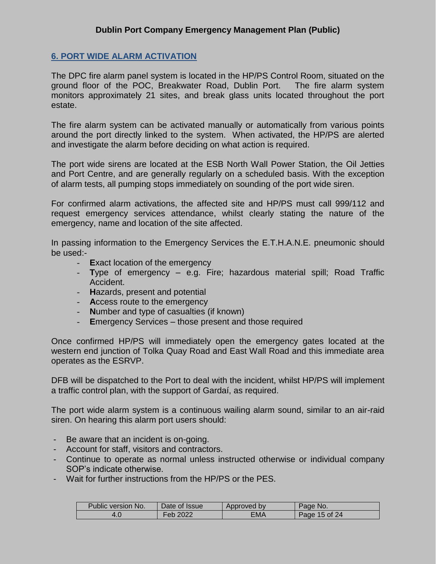#### **6. PORT WIDE ALARM ACTIVATION**

The DPC fire alarm panel system is located in the HP/PS Control Room, situated on the ground floor of the POC, Breakwater Road, Dublin Port. The fire alarm system monitors approximately 21 sites, and break glass units located throughout the port estate.

The fire alarm system can be activated manually or automatically from various points around the port directly linked to the system. When activated, the HP/PS are alerted and investigate the alarm before deciding on what action is required.

The port wide sirens are located at the ESB North Wall Power Station, the Oil Jetties and Port Centre, and are generally regularly on a scheduled basis. With the exception of alarm tests, all pumping stops immediately on sounding of the port wide siren.

For confirmed alarm activations, the affected site and HP/PS must call 999/112 and request emergency services attendance, whilst clearly stating the nature of the emergency, name and location of the site affected.

In passing information to the Emergency Services the E.T.H.A.N.E. pneumonic should be used:-

- **E**xact location of the emergency
- **T**ype of emergency e.g. Fire; hazardous material spill; Road Traffic Accident.
- **H**azards, present and potential
- **A**ccess route to the emergency
- **N**umber and type of casualties (if known)
- **E**mergency Services those present and those required

Once confirmed HP/PS will immediately open the emergency gates located at the western end junction of Tolka Quay Road and East Wall Road and this immediate area operates as the ESRVP.

DFB will be dispatched to the Port to deal with the incident, whilst HP/PS will implement a traffic control plan, with the support of Gardaí, as required.

The port wide alarm system is a continuous wailing alarm sound, similar to an air-raid siren. On hearing this alarm port users should:

- Be aware that an incident is on-going.
- Account for staff, visitors and contractors.
- Continue to operate as normal unless instructed otherwise or individual company SOP's indicate otherwise.
- Wait for further instructions from the HP/PS or the PES.

| Public version No. | Date of Issue | Approved by | Page No.      |
|--------------------|---------------|-------------|---------------|
| 4.0                | Feb           | EMA         | Page 15 of 24 |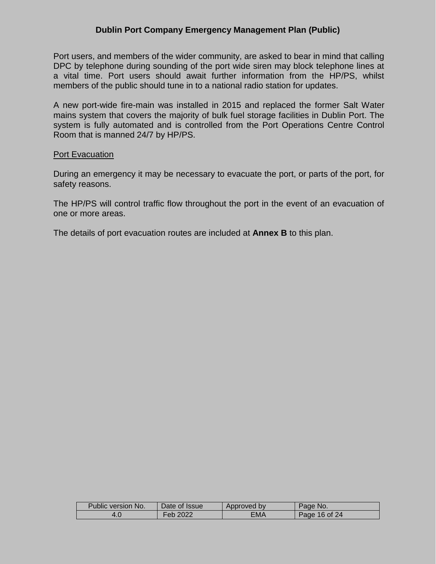Port users, and members of the wider community, are asked to bear in mind that calling DPC by telephone during sounding of the port wide siren may block telephone lines at a vital time. Port users should await further information from the HP/PS, whilst members of the public should tune in to a national radio station for updates.

A new port-wide fire-main was installed in 2015 and replaced the former Salt Water mains system that covers the majority of bulk fuel storage facilities in Dublin Port. The system is fully automated and is controlled from the Port Operations Centre Control Room that is manned 24/7 by HP/PS.

#### **Port Evacuation**

During an emergency it may be necessary to evacuate the port, or parts of the port, for safety reasons.

The HP/PS will control traffic flow throughout the port in the event of an evacuation of one or more areas.

The details of port evacuation routes are included at **Annex B** to this plan.

| Public version No. | Date of Issue         | Approved by | Page No.      |
|--------------------|-----------------------|-------------|---------------|
|                    | Feb 2022 <sub>-</sub> | EMA         | Page 16 of 24 |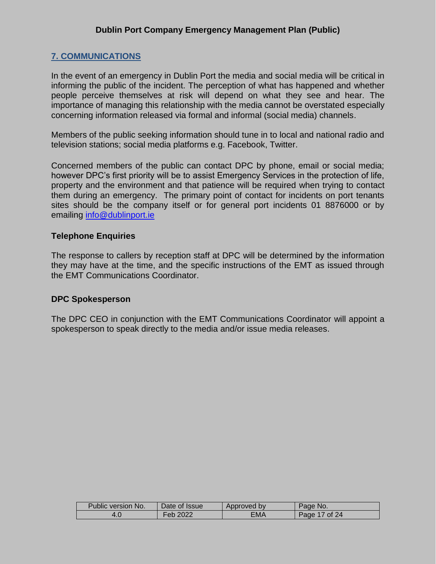#### <span id="page-16-0"></span>**7. COMMUNICATIONS**

In the event of an emergency in Dublin Port the media and social media will be critical in informing the public of the incident. The perception of what has happened and whether people perceive themselves at risk will depend on what they see and hear. The importance of managing this relationship with the media cannot be overstated especially concerning information released via formal and informal (social media) channels.

Members of the public seeking information should tune in to local and national radio and television stations; social media platforms e.g. Facebook, Twitter.

Concerned members of the public can contact DPC by phone, email or social media; however DPC's first priority will be to assist Emergency Services in the protection of life, property and the environment and that patience will be required when trying to contact them during an emergency. The primary point of contact for incidents on port tenants sites should be the company itself or for general port incidents 01 8876000 or by emailing [info@dublinport.ie](mailto:info@dublinport.ie)

#### **Telephone Enquiries**

The response to callers by reception staff at DPC will be determined by the information they may have at the time, and the specific instructions of the EMT as issued through the EMT Communications Coordinator.

#### **DPC Spokesperson**

<span id="page-16-1"></span>The DPC CEO in conjunction with the EMT Communications Coordinator will appoint a spokesperson to speak directly to the media and/or issue media releases.

| Public version No. | Date of Issue | Approved by | Page No.      |
|--------------------|---------------|-------------|---------------|
| 4.U                | 2022<br>-eb   | ΞМΑ         | Page 17 of 24 |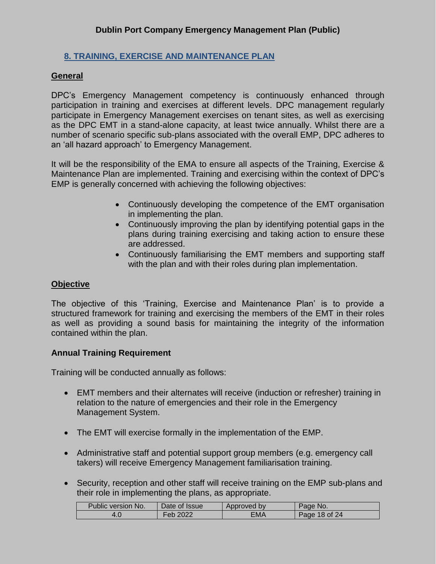#### **8. TRAINING, EXERCISE AND MAINTENANCE PLAN**

#### **General**

DPC's Emergency Management competency is continuously enhanced through participation in training and exercises at different levels. DPC management regularly participate in Emergency Management exercises on tenant sites, as well as exercising as the DPC EMT in a stand-alone capacity, at least twice annually. Whilst there are a number of scenario specific sub-plans associated with the overall EMP, DPC adheres to an 'all hazard approach' to Emergency Management.

It will be the responsibility of the EMA to ensure all aspects of the Training, Exercise & Maintenance Plan are implemented. Training and exercising within the context of DPC's EMP is generally concerned with achieving the following objectives:

- Continuously developing the competence of the EMT organisation in implementing the plan.
- Continuously improving the plan by identifying potential gaps in the plans during training exercising and taking action to ensure these are addressed.
- Continuously familiarising the EMT members and supporting staff with the plan and with their roles during plan implementation.

#### **Objective**

The objective of this 'Training, Exercise and Maintenance Plan' is to provide a structured framework for training and exercising the members of the EMT in their roles as well as providing a sound basis for maintaining the integrity of the information contained within the plan.

#### **Annual Training Requirement**

Training will be conducted annually as follows:

- EMT members and their alternates will receive (induction or refresher) training in relation to the nature of emergencies and their role in the Emergency Management System.
- The EMT will exercise formally in the implementation of the EMP.
- Administrative staff and potential support group members (e.g. emergency call takers) will receive Emergency Management familiarisation training.
- Security, reception and other staff will receive training on the EMP sub-plans and their role in implementing the plans, as appropriate.

| Public version No. | Date of Issue | Approved by | Page No.      |
|--------------------|---------------|-------------|---------------|
|                    | 2022          | ЕМА         | Page 18 of 24 |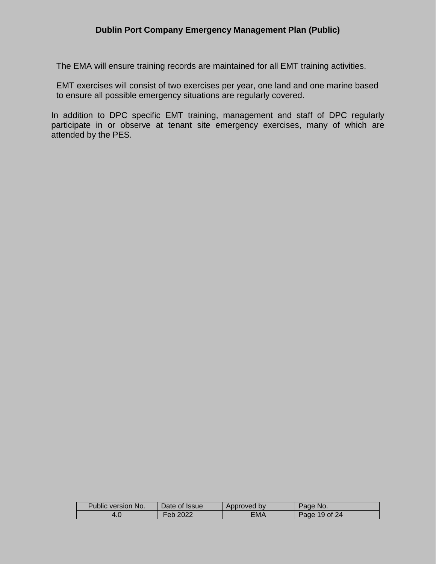The EMA will ensure training records are maintained for all EMT training activities.

EMT exercises will consist of two exercises per year, one land and one marine based to ensure all possible emergency situations are regularly covered.

In addition to DPC specific EMT training, management and staff of DPC regularly participate in or observe at tenant site emergency exercises, many of which are attended by the PES.

| Public version No. | Date of Issue | Approved by | Page No.      |
|--------------------|---------------|-------------|---------------|
|                    | Feb 2022      | ΞΜΑ         | Page 19 of 24 |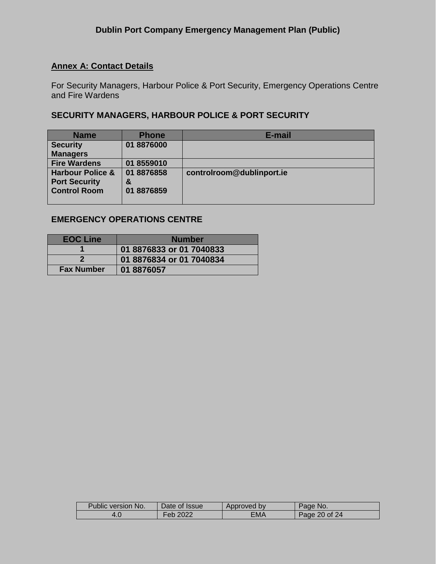#### **Annex A: Contact Details**

For Security Managers, Harbour Police & Port Security, Emergency Operations Centre and Fire Wardens

#### **SECURITY MANAGERS, HARBOUR POLICE & PORT SECURITY**

| <b>Name</b>                                                                | <b>Phone</b>                  | E-mail                    |
|----------------------------------------------------------------------------|-------------------------------|---------------------------|
| <b>Security</b>                                                            | 01 8876000                    |                           |
| <b>Managers</b>                                                            |                               |                           |
| <b>Fire Wardens</b>                                                        | 01 8559010                    |                           |
| <b>Harbour Police &amp;</b><br><b>Port Security</b><br><b>Control Room</b> | 01 8876858<br>&<br>01 8876859 | controlroom@dublinport.ie |

#### **EMERGENCY OPERATIONS CENTRE**

| <b>EOC Line</b>   | <b>Number</b>            |  |  |
|-------------------|--------------------------|--|--|
|                   | 01 8876833 or 01 7040833 |  |  |
|                   | 01 8876834 or 01 7040834 |  |  |
| <b>Fax Number</b> | 01 8876057               |  |  |

| Public version No. | Date of Issue         | Approved by | Page No.      |
|--------------------|-----------------------|-------------|---------------|
|                    | Feb 2022 <sup>.</sup> | ΞΜΑ         | Page 20 of 24 |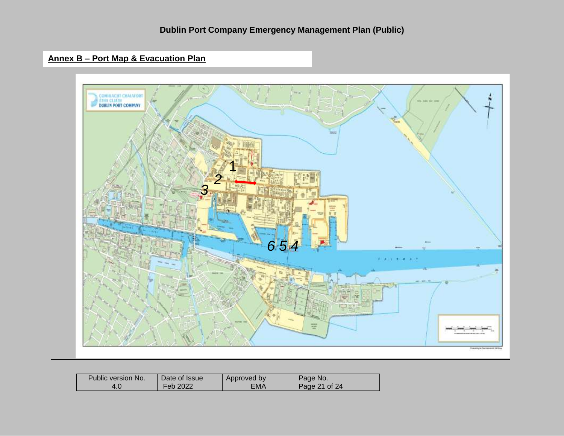### **Annex B – Port Map & Evacuation Plan**



| Public version No. | Date of Issue | Approved by | Page No.      |
|--------------------|---------------|-------------|---------------|
|                    | Feb 2022      | EMA         | Page 21 of 24 |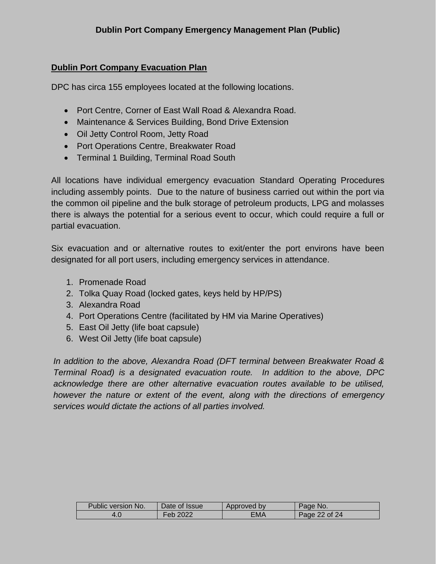#### **Dublin Port Company Evacuation Plan**

DPC has circa 155 employees located at the following locations.

- Port Centre, Corner of East Wall Road & Alexandra Road.
- Maintenance & Services Building, Bond Drive Extension
- Oil Jetty Control Room, Jetty Road
- Port Operations Centre, Breakwater Road
- Terminal 1 Building, Terminal Road South

All locations have individual emergency evacuation Standard Operating Procedures including assembly points. Due to the nature of business carried out within the port via the common oil pipeline and the bulk storage of petroleum products, LPG and molasses there is always the potential for a serious event to occur, which could require a full or partial evacuation.

Six evacuation and or alternative routes to exit/enter the port environs have been designated for all port users, including emergency services in attendance.

- 1. Promenade Road
- 2. Tolka Quay Road (locked gates, keys held by HP/PS)
- 3. Alexandra Road
- 4. Port Operations Centre (facilitated by HM via Marine Operatives)
- 5. East Oil Jetty (life boat capsule)
- 6. West Oil Jetty (life boat capsule)

*In addition to the above, Alexandra Road (DFT terminal between Breakwater Road & Terminal Road) is a designated evacuation route. In addition to the above, DPC acknowledge there are other alternative evacuation routes available to be utilised, however the nature or extent of the event, along with the directions of emergency services would dictate the actions of all parties involved.* 

| Public version No. | Date of Issue | Approved by | Page No.      |
|--------------------|---------------|-------------|---------------|
|                    | 2022<br>Feb.  | ΞΜΑ         | Page 22 of 24 |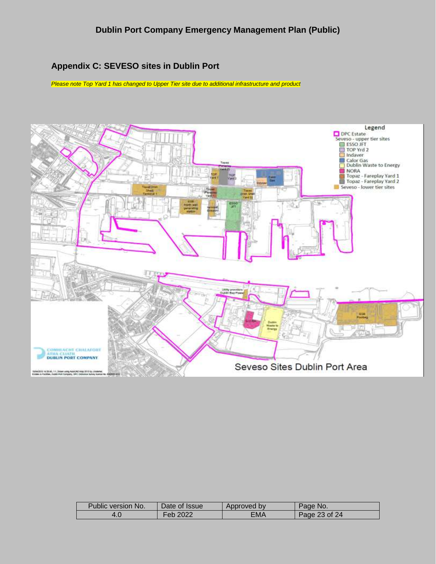#### **Appendix C: SEVESO sites in Dublin Port**

*Please note Top Yard 1 has changed to Upper Tier site due to additional infrastructure and product*



| Public version No. | Date of Issue | Approved by | Page No.      |
|--------------------|---------------|-------------|---------------|
|                    | 2022<br>-eb   | ΞМΑ         | Page 23 of 24 |